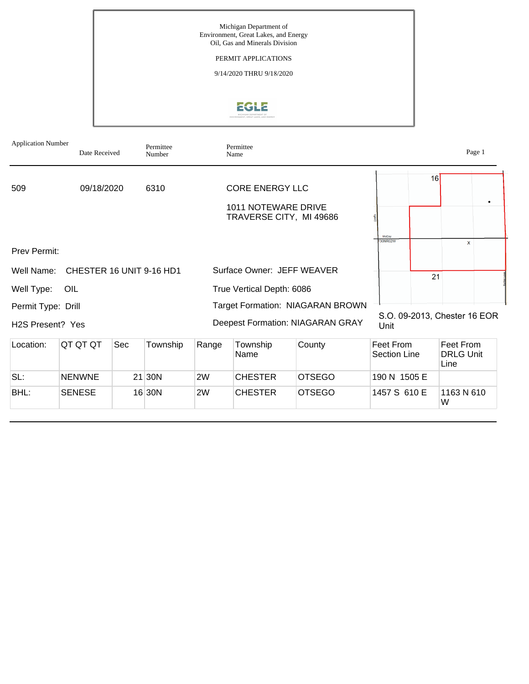

| <b>Application Number</b>     | Date Received            |     | Permittee<br>Number |       | Permittee<br>Name                                                        |                                         |                           |    | Page 1                                |
|-------------------------------|--------------------------|-----|---------------------|-------|--------------------------------------------------------------------------|-----------------------------------------|---------------------------|----|---------------------------------------|
| 509                           | 09/18/2020               |     | 6310                |       | <b>CORE ENERGY LLC</b><br>1011 NOTEWARE DRIVE<br>TRAVERSE CITY, MI 49686 |                                         |                           | 16 | ٠                                     |
| <b>Prev Permit:</b>           |                          |     |                     |       |                                                                          |                                         | McCov<br>T30NR02W         |    | X                                     |
| Well Name:                    | CHESTER 16 UNIT 9-16 HD1 |     |                     |       | Surface Owner: JEFF WEAVER                                               |                                         |                           | 21 |                                       |
| Well Type:                    | OIL                      |     |                     |       | True Vertical Depth: 6086                                                |                                         |                           |    |                                       |
| Permit Type: Drill            |                          |     |                     |       |                                                                          | Target Formation: NIAGARAN BROWN        |                           |    |                                       |
| H <sub>2</sub> S Present? Yes |                          |     |                     |       |                                                                          | <b>Deepest Formation: NIAGARAN GRAY</b> | Unit                      |    | S.O. 09-2013, Chester 16 EOR          |
| Location:                     | QT QT QT                 | Sec | Township            | Range | Township<br>Name                                                         | County                                  | Feet From<br>Section Line |    | Feet From<br><b>DRLG Unit</b><br>Line |

| BHL: | <b>SENESE</b> |    | 16 30N | 2W | <b>CHESTER</b> | <b>OTSEGO</b> | 1457 S 610 E | 1163 N 610<br>W |
|------|---------------|----|--------|----|----------------|---------------|--------------|-----------------|
| SL:  | <b>NENWNE</b> | 21 | 30N    | 2W | <b>CHESTER</b> | <b>OTSEGO</b> | 190 N 1505 E |                 |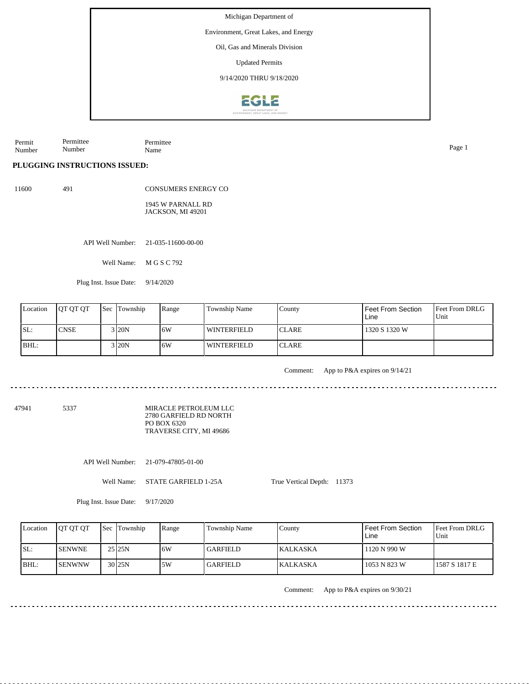Environment, Great Lakes, and Energy

Oil, Gas and Minerals Division

Updated Permits

9/14/2020 THRU 9/18/2020



Permit Number Permittee Number Permittee Name Page 1

**PLUGGING INSTRUCTIONS ISSUED:**

11600 491

CONSUMERS ENERGY CO 1945 W PARNALL RD JACKSON, MI 49201

API Well Number: 21-035-11600-00-00

Well Name: M G S C 792

Plug Inst. Issue Date: 9/14/2020

| Location | <b>OT OT OT</b> | <b>Sec Township</b> | Range | <b>Township Name</b> | County        | Feet From Section<br>Line | <b>Feet From DRLG</b><br>Unit |
|----------|-----------------|---------------------|-------|----------------------|---------------|---------------------------|-------------------------------|
| ISL:     | `CNSE           | 3 <sub>20N</sub>    | 16W   | WINTERFIELD          | <b>ICLARE</b> | 1320 S 1320 W             |                               |
| BHL:     |                 | 3 I20N              | 16W   | WINTERFIELD          | <b>ICLARE</b> |                           |                               |

Comment: App to P&A expires on 9/14/21

47941 5337

MIRACLE PETROLEUM LLC 2780 GARFIELD RD NORTH PO BOX 6320 TRAVERSE CITY, MI 49686

API Well Number: 21-079-47805-01-00

Well Name: STATE GARFIELD 1-25A

True Vertical Depth: 11373

Plug Inst. Issue Date: 9/17/2020

| Location | <b>OT OT OT</b> | <b>Sec Township</b> | Range | Township Name   | County           | <b>Feet From Section</b><br>Line | <b>Feet From DRLG</b><br>l Unit |
|----------|-----------------|---------------------|-------|-----------------|------------------|----------------------------------|---------------------------------|
| ISL:     | <b>ISENWNE</b>  | 25 25 N             | 6W    | <b>GARFIELD</b> | <b>IKALKASKA</b> | 1120 N 990 W                     |                                 |
| BHL:     | <b>ISENWNW</b>  | 30 <sub>125N</sub>  | 5W    | <b>GARFIELD</b> | <b>IKALKASKA</b> | 1053 N 823 W                     | 1587 S 1817 E                   |

Comment: App to P&A expires on 9/30/21

 $\mathcal{L}^{\mathcal{A}}\mathcal{L}^{\mathcal{A}}\mathcal{L}^{\mathcal{A}}\mathcal{L}^{\mathcal{A}}\mathcal{L}^{\mathcal{A}}\mathcal{L}^{\mathcal{A}}\mathcal{L}^{\mathcal{A}}\mathcal{L}^{\mathcal{A}}\mathcal{L}^{\mathcal{A}}\mathcal{L}^{\mathcal{A}}$ 

 $- - - - - -$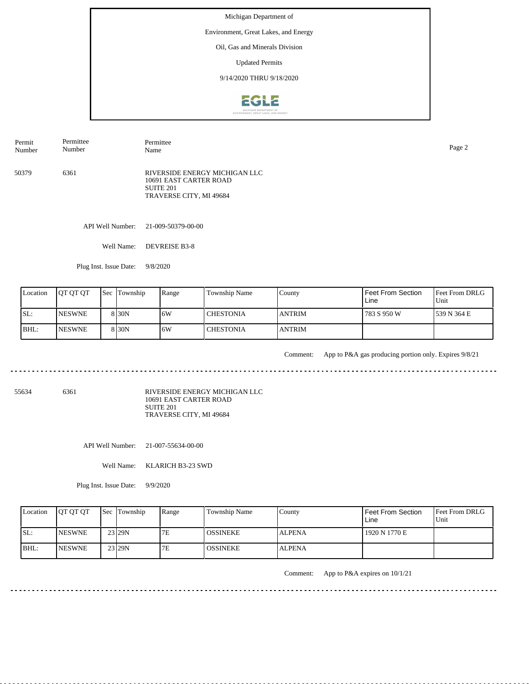Environment, Great Lakes, and Energy

Oil, Gas and Minerals Division

Updated Permits

9/14/2020 THRU 9/18/2020



50379 6361 RIVERSIDE ENERGY MICHIGAN LLC 10691 EAST CARTER ROAD SUITE 201 TRAVERSE CITY, MI 49684 Permit Number Permittee Number Permittee Name Page 2

API Well Number: 21-009-50379-00-00

Well Name: DEVREISE B3-8

Plug Inst. Issue Date: 9/8/2020

|      | Location | <b>IOT OT OT</b> | <b>Sec</b> Township | Range | Township Name    | County         | <b>Feet From Section</b><br>Line | <b>Feet From DRLG</b><br>Unit |
|------|----------|------------------|---------------------|-------|------------------|----------------|----------------------------------|-------------------------------|
| ISL: |          | <b>INESWNE</b>   | 8 <sub>30</sub> N   | 16W   | <b>CHESTONIA</b> | <b>ANTRIM</b>  | 783 S 950 W                      | 1539 N 364 E                  |
| BHL: |          | <b>INESWNE</b>   | 8 <sub>30</sub> N   | 16W   | <b>CHESTONIA</b> | <b>JANTRIM</b> |                                  |                               |

 $\mathcal{L}^{\mathcal{A}}\mathcal{L}^{\mathcal{A}}\mathcal{L}^{\mathcal{A}}\mathcal{L}^{\mathcal{A}}\mathcal{L}^{\mathcal{A}}\mathcal{L}^{\mathcal{A}}\mathcal{L}^{\mathcal{A}}$ 

Comment: App to P&A gas producing portion only. Expires 9/8/21

55634 6361

RIVERSIDE ENERGY MICHIGAN LLC 10691 EAST CARTER ROAD SUITE 201 TRAVERSE CITY, MI 49684

API Well Number: 21-007-55634-00-00

Well Name: KLARICH B3-23 SWD

Plug Inst. Issue Date: 9/9/2020

| Location | <b>OT OT OT</b> | <b>Sec</b> Township | Range | <b>Township Name</b> | Countv        | Feet From Section<br>Line | <b>Feet From DRLG</b><br>Unit |
|----------|-----------------|---------------------|-------|----------------------|---------------|---------------------------|-------------------------------|
| SL:      | <b>INESWNE</b>  | 23 29N              | 7E    | <b>OSSINEKE</b>      | <b>ALPENA</b> | 1920 N 1770 E             |                               |
| IBHL:    | <b>INESWNE</b>  | 23 29N              | 7Е    | <b>OSSINEKE</b>      | <b>ALPENA</b> |                           |                               |

Comment: App to P&A expires on 10/1/21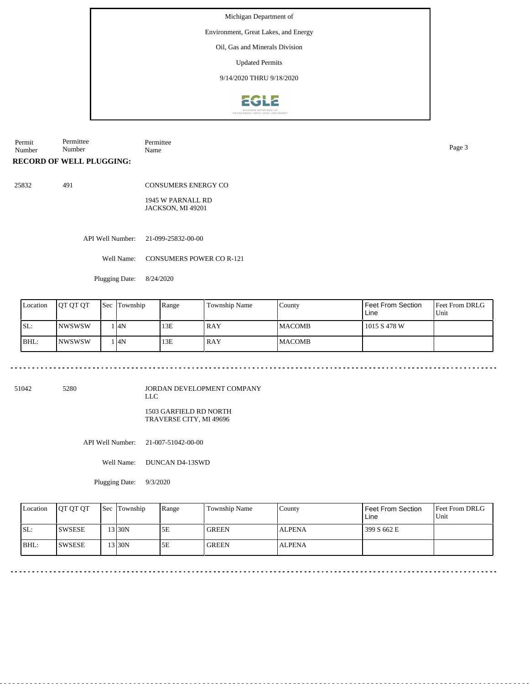Environment, Great Lakes, and Energy

Oil, Gas and Minerals Division

Updated Permits

9/14/2020 THRU 9/18/2020



Permit Number Permittee Number Permittee Name Page 3

**RECORD OF WELL PLUGGING:**

25832 491

CONSUMERS ENERGY CO

1945 W PARNALL RD JACKSON, MI 49201

API Well Number: 21-099-25832-00-00

Well Name: CONSUMERS POWER CO R-121

Plugging Date: 8/24/2020

| Location | <b>IOT OT OT</b> | <b>Sec</b> Township | Range | Township Name | County         | l Feet From Section<br>Line | Feet From DRLG<br>Unit |
|----------|------------------|---------------------|-------|---------------|----------------|-----------------------------|------------------------|
| SL:      | INWSWSW          | 4N                  | 13E   | RAY           | <b>IMACOMB</b> | 1015 S 478 W                |                        |
| BHL:     | <b>INWSWSW</b>   | 4N                  | 13E   | RAY           | <b>IMACOMB</b> |                             |                        |

51042 5280

JORDAN DEVELOPMENT COMPANY LLC

1503 GARFIELD RD NORTH TRAVERSE CITY, MI 49696

API Well Number: 21-007-51042-00-00

Well Name: DUNCAN D4-13SWD

Plugging Date: 9/3/2020

|      | Location | <b>OT OT OT</b> | <b>Sec Township</b> | Range | Township Name | County        | Feet From Section<br>Line | <b>Feet From DRLG</b><br>Unit |
|------|----------|-----------------|---------------------|-------|---------------|---------------|---------------------------|-------------------------------|
| ISL: |          | <b>SWSESE</b>   | $3$ 30N             | 5Ε    | <b>GREEN</b>  | <b>ALPENA</b> | 399 S 662 E               |                               |
| BHL: |          | <b>ISWSESE</b>  | 13 30N              | 5Ε    | <b>GREEN</b>  | <b>ALPENA</b> |                           |                               |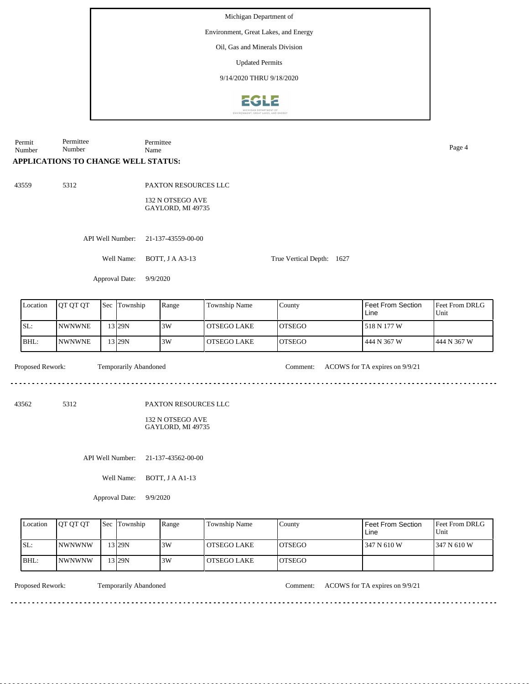Environment, Great Lakes, and Energy

Oil, Gas and Minerals Division

Updated Permits

9/14/2020 THRU 9/18/2020



Permit Number Permittee Number Permittee Name Page 4

## **APPLICATIONS TO CHANGE WELL STATUS:**

43559 5312

PAXTON RESOURCES LLC

132 N OTSEGO AVE GAYLORD, MI 49735

API Well Number: 21-137-43559-00-00

Well Name: BOTT, J A A3-13

Approval Date: 9/9/2020

| Location | <b>JOT OT OT</b> | <b>Sec</b> | Township | Range | Township Name | County         | Feet From Section<br>Line | <b>Feet From DRLG</b><br>Unit |
|----------|------------------|------------|----------|-------|---------------|----------------|---------------------------|-------------------------------|
| ISL:     | <b>INWNWNE</b>   |            | 13 29N   | 3W    | l OTSEGO LAKE | IOTSEGO        | 518 N 177 W               |                               |
| BHL:     | <b>INWNWNE</b>   |            | 13 29N   | 3W    | l OTSEGO LAKE | <b>IOTSEGO</b> | 444 N 367 W               | 444 N 367 W                   |

Temporarily Abandoned

Proposed Rework: Comment: ACOWS for TA expires on 9/9/21

<u>eeseseses</u>e

<u>eestes ses se</u>s

True Vertical Depth: 1627

43562 5312

PAXTON RESOURCES LLC

132 N OTSEGO AVE GAYLORD, MI 49735

API Well Number: 21-137-43562-00-00

Well Name: BOTT, J A A1-13

Approval Date: 9/9/2020

| Location | <b>IOT OT OT</b> | <b>Sec Township</b> | Range | Township Name | County         | l Feet From Section<br>Line | <b>IFeet From DRLG</b><br>Unit |
|----------|------------------|---------------------|-------|---------------|----------------|-----------------------------|--------------------------------|
| SL:      | <b>INWNWNW</b>   | 13129N              | 3W    | l OTSEGO LAKE | <b>IOTSEGO</b> | 347 N 610 W                 | 1347 N 610 W                   |
| BHL:     | INWNWNW          | 13129N              | 3W    | LOTSEGO LAKE  | <b>LOTSEGO</b> |                             |                                |

Proposed Rework: Temporarily Abandoned Comment: ACOWS for TA expires on 9/9/21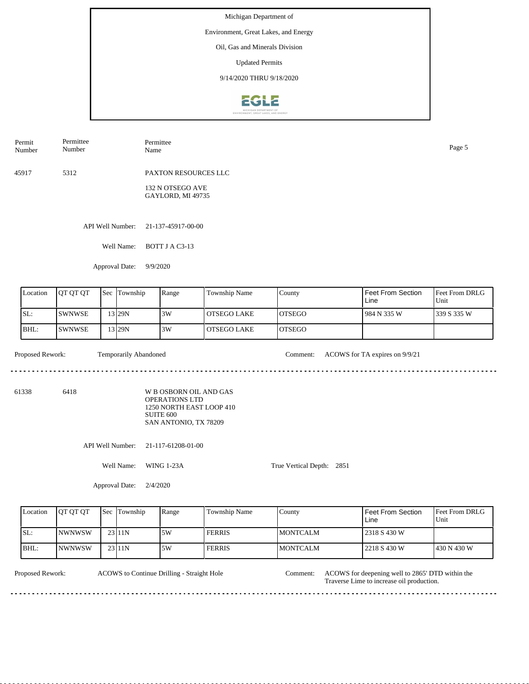Environment, Great Lakes, and Energy

Oil, Gas and Minerals Division

Updated Permits

9/14/2020 THRU 9/18/2020



| Permittee<br>Name                     | Page 5 |
|---------------------------------------|--------|
| PAXTON RESOURCES LLC                  |        |
| 132 N OTSEGO AVE<br>GAYLORD, MI 49735 |        |
|                                       |        |

API Well Number: 21-137-45917-00-00

Well Name: BOTT J A C3-13

Approval Date: 9/9/2020

| Location | <b>IOT OT OT</b> | <b>Sec</b> | Township  | Range | Township Name | County         | Feet From Section<br>Line | <b>Feet From DRLG</b><br>Unit |
|----------|------------------|------------|-----------|-------|---------------|----------------|---------------------------|-------------------------------|
| ISL:     | <b>SWNWSE</b>    |            | 13 I 29 N | 3W    | l OTSEGO LAKE | <b>IOTSEGO</b> | 984 N 335 W               | 1339 S 335 W                  |
| BHL:     | <b>SWNWSE</b>    |            | 13 I 29 N | 3W    | l OTSEGO LAKE | <b>IOTSEGO</b> |                           |                               |

 $\mathcal{L}^{\mathcal{L}}\left( \mathcal{L}^{\mathcal{L}}\left( \mathcal{L}^{\mathcal{L}}\right) \right) =\mathcal{L}^{\mathcal{L}}\left( \mathcal{L}^{\mathcal{L}}\right)$ 

Proposed Rework: Temporarily Abandoned Comment: ACOWS for TA expires on 9/9/21

True Vertical Depth: 2851

61338 6418

W B OSBORN OIL AND GAS OPERATIONS LTD 1250 NORTH EAST LOOP 410 SUITE 600 SAN ANTONIO, TX 78209

API Well Number: 21-117-61208-01-00

Well Name: WING 1-23A

Approval Date: 2/4/2020

| Location | <b>IOT OT OT</b> | <b>Sec Township</b> | Range | <b>Township Name</b> | County           | l Feet From Section<br>Line | Feet From DRLG<br>Unit |
|----------|------------------|---------------------|-------|----------------------|------------------|-----------------------------|------------------------|
| ISL:     | <b>INWNWSW</b>   | $23$  11N           | 5W    | <b>FERRIS</b>        | IMONTCALM        | 2318 S 430 W                |                        |
| BHL:     | <b>INWNWSW</b>   | 23 11N              | 5W    | <b>FERRIS</b>        | <b>IMONTCALM</b> | 2218 S 430 W                | 1430 N 430 W           |

ACOWS to Continue Drilling - Straight Hole

Proposed Rework: ACOWS for deepening well to 2865' DTD within the Traverse Lime to increase oil production. Comment: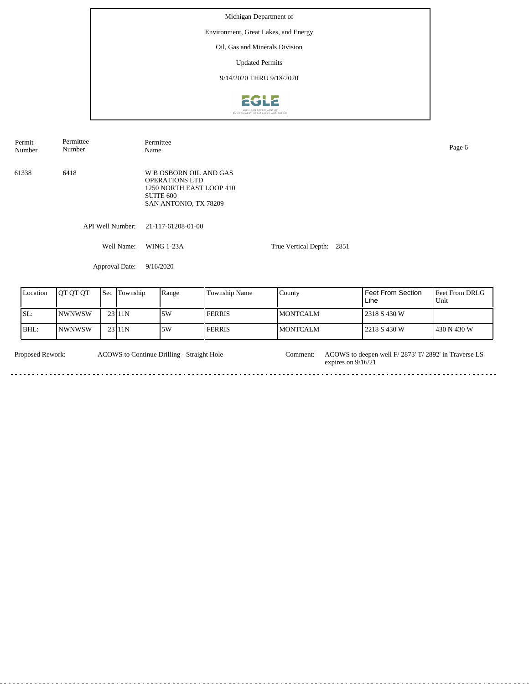Michigan Department of Environment, Great Lakes, and Energy Oil, Gas and Minerals Division Updated Permits 9/14/2020 THRU 9/18/2020EGLE

| Permit<br>Number | Permittee<br>Number      | Permittee<br>Name                                                                                                            |               |                           |                   | Page 6       |
|------------------|--------------------------|------------------------------------------------------------------------------------------------------------------------------|---------------|---------------------------|-------------------|--------------|
| 61338            | 6418                     | W B OSBORN OIL AND GAS<br><b>OPERATIONS LTD</b><br>1250 NORTH EAST LOOP 410<br>SUITE <sub>600</sub><br>SAN ANTONIO, TX 78209 |               |                           |                   |              |
|                  | API Well Number:         | 21-117-61208-01-00                                                                                                           |               |                           |                   |              |
|                  | Well Name:               | <b>WING 1-23A</b>                                                                                                            |               | True Vertical Depth: 2851 |                   |              |
|                  | Approval Date:           | 9/16/2020                                                                                                                    |               |                           |                   |              |
| Location         | QT QT QT<br>Sec Township | Range                                                                                                                        | Township Name | County                    | Feet From Section | Feet From DR |

| Location | <b>OT OT OT</b> | Sec | Township | Range | Township Name | County           | l Feet From Section<br>Line | <b>Feet From DRLG</b><br>Unit |
|----------|-----------------|-----|----------|-------|---------------|------------------|-----------------------------|-------------------------------|
| SL:      | INWNWSW         |     | 23111N   | 5W    | <b>FERRIS</b> | <b>IMONTCALM</b> | 12318 S 430 W               |                               |
| IBHL:    | INWNWSW         |     | 23 11N   | .5W   | <b>FERRIS</b> | <b>IMONTCALM</b> | 2218 S 430 W                | 1430 N 430 W                  |

| <b>Proposed Rework:</b> | ACOWS to Continue Drilling - Straight Hole | Comment: | ACOWS to deepen well F/ 2873' T/ 2892' in Traverse LS<br>expires on $9/16/21$ |
|-------------------------|--------------------------------------------|----------|-------------------------------------------------------------------------------|
|                         |                                            |          |                                                                               |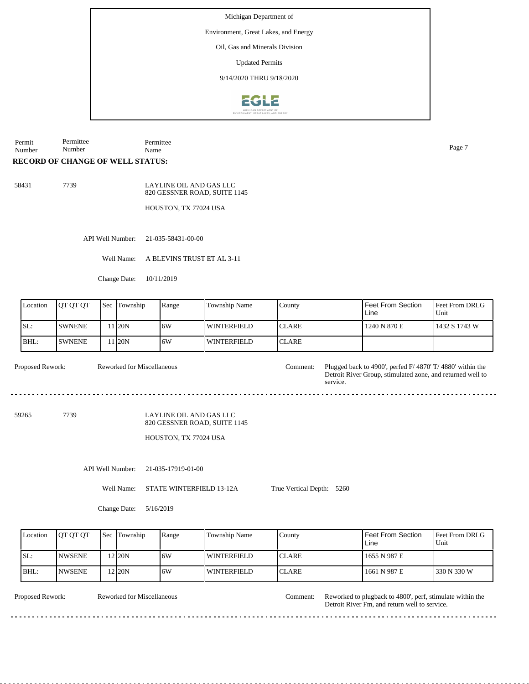Environment, Great Lakes, and Energy

Oil, Gas and Minerals Division

Updated Permits

9/14/2020 THRU 9/18/2020



Permit Number Permittee Number Permittee Name Page 7

## **RECORD OF CHANGE OF WELL STATUS:**

58431 7739

LAYLINE OIL AND GAS LLC 820 GESSNER ROAD, SUITE 1145

HOUSTON, TX 77024 USA

API Well Number: 21-035-58431-00-00

Well Name: A BLEVINS TRUST ET AL 3-11

Change Date: 10/11/2019

| Location | <b>IOT OT OT</b> | <b>Sec Township</b> | Range | <b>Township Name</b> | County        | I Feet From Section<br>Line | Feet From DRLG<br>Unit |
|----------|------------------|---------------------|-------|----------------------|---------------|-----------------------------|------------------------|
| SL:      | <b>SWNENE</b>    | 1 <sub>20</sub> N   | 16W   | WINTERFIELD          | <b>ICLARE</b> | 1240 N 870 E                | 1432 S 1743 W          |
| BHL:     | <b>ISWNENE</b>   | 1 <sub>20</sub> N   | 16W   | <b>WINTERFIELD</b>   | <b>ICLARE</b> |                             |                        |

Reworked for Miscellaneous

Proposed Rework: Reworked for Miscellaneous Comment: Plugged back to 4900', perfed F/ 4870' T/ 4880' within the Detroit River Group, stimulated zone, and returned well to service.

59265 7739

## LAYLINE OIL AND GAS LLC 820 GESSNER ROAD, SUITE 1145

HOUSTON, TX 77024 USA

API Well Number: 21-035-17919-01-00

Well Name: STATE WINTERFIELD 13-12A

Change Date: 5/16/2019

Feet From DRLG Unit 330 N 330 W 1655 N 987 E 1661 N 987 E Feet From Section Line County CLARE CLARE Location  $QT QT$  Sec Township Range Township Name SL: BHL: NWSENE NWSENE Township 12 12 20N 6W 20N 6W WINTERFIELD WINTERFIELD

. . . . . . . . .

True Vertical Depth: 5260

Reworked for Miscellaneous

Proposed Rework: Reworked for Miscellaneous Comment: Reworked to plugback to 4800', perf, stimulate within the Detroit River Fm, and return well to service. Comment:

 $- - - - - -$ 

<u>. . . . . .</u>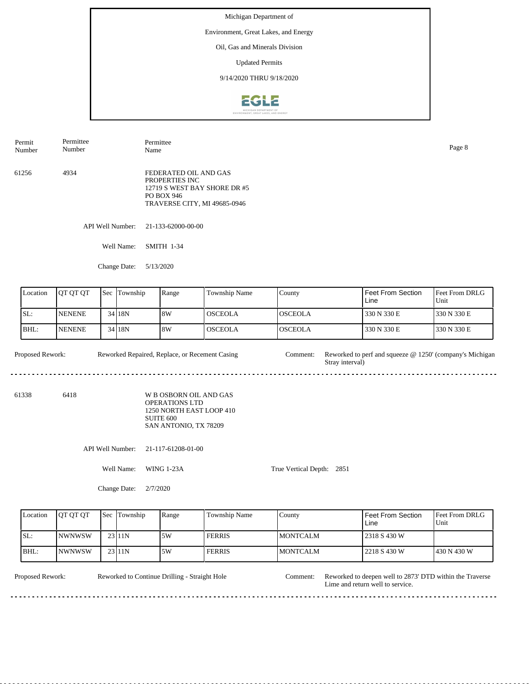Environment, Great Lakes, and Energy

Oil, Gas and Minerals Division

Updated Permits

9/14/2020 THRU 9/18/2020



API Well Number: 21-133-62000-00-00 Well Name: SMITH 1-34 61256 4934 FEDERATED OIL AND GAS PROPERTIES INC 12719 S WEST BAY SHORE DR #5 PO BOX 946 TRAVERSE CITY, MI 49685-0946 Permit Number Permittee Number Permittee Name Page 8

Feet From DRLG Unit 330 N 330 E 330 N 330 E 330 N 330 E 330 N 330 E Feet From Section Line County OSCEOLA OSCEOLA Location QT QT QT Sec Township Range Township Name SL: BHL: NENENE NENENE Sec Township 34 18N 34 18N 8W 8W OSCEOLA **OSCEOLA** 

Proposed Rework: Reworked Repaired, Replace, or Recement Casing Comment: Reworked to perf and squeeze @ 1250' (company's Michigan Reworked Repaired, Replace, or Recement Casing Stray interval) <u>...............</u> 

61338 6418 W B OSBORN OIL AND GAS OPERATIONS LTD 1250 NORTH EAST LOOP 410 SUITE 600

API Well Number: 21-117-61208-01-00

Change Date: 5/13/2020

Well Name: WING 1-23A

Change Date: 2/7/2020

SAN ANTONIO, TX 78209

True Vertical Depth: 2851

Feet From DRLG Unit 430 N 430 W 2318 S 430 W 2218 S 430 W Feet From Section Line County MONTCALM MONTCALM Location  $QT QT QT$  Sec Township Range Township Name SL: BHL: NWNWSW NWNWSW Township 23 11N 23 11N 5W 5W FERRIS FERRIS

Reworked to Continue Drilling - Straight Hole

Proposed Rework: Reworked to Continue Drilling - Straight Hole Comment: Reworked to deepen well to 2873' DTD within the Traverse Lime and return well to service. Comment: